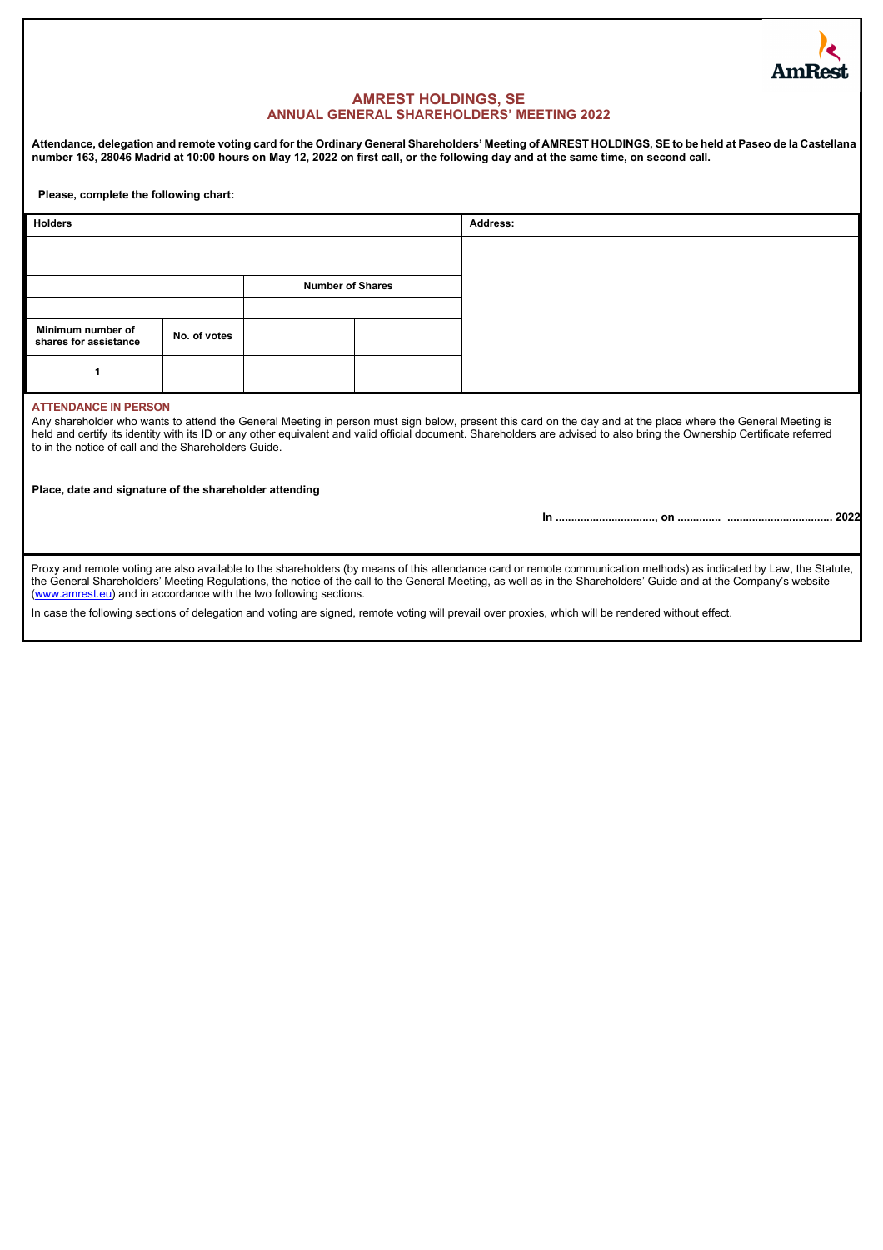

# **AMREST HOLDINGS, SE ANNUAL GENERAL SHAREHOLDERS' MEETING 2022**

**Attendance, delegation and remote voting card for the Ordinary General Shareholders' Meeting of AMREST HOLDINGS, SE to be held at Paseo de la Castellana number 163, 28046 Madrid at 10:00 hours on May 12, 2022 on first call, or the following day and at the same time, on second call.** 

**Please, complete the following chart:**

| <b>Holders</b>                                                                      |              |                         | Address: |                                                                                                                                                                                                                                                                                                                                           |
|-------------------------------------------------------------------------------------|--------------|-------------------------|----------|-------------------------------------------------------------------------------------------------------------------------------------------------------------------------------------------------------------------------------------------------------------------------------------------------------------------------------------------|
|                                                                                     |              |                         |          |                                                                                                                                                                                                                                                                                                                                           |
|                                                                                     |              | <b>Number of Shares</b> |          |                                                                                                                                                                                                                                                                                                                                           |
|                                                                                     |              |                         |          |                                                                                                                                                                                                                                                                                                                                           |
| Minimum number of<br>shares for assistance                                          | No. of votes |                         |          |                                                                                                                                                                                                                                                                                                                                           |
|                                                                                     |              |                         |          |                                                                                                                                                                                                                                                                                                                                           |
| <b>ATTENDANCE IN PERSON</b><br>to in the notice of call and the Shareholders Guide. |              |                         |          | Any shareholder who wants to attend the General Meeting in person must sign below, present this card on the day and at the place where the General Meeting is<br>held and certify its identity with its ID or any other equivalent and valid official document. Shareholders are advised to also bring the Ownership Certificate referred |
| Place, date and signature of the shareholder attending                              |              |                         |          |                                                                                                                                                                                                                                                                                                                                           |
|                                                                                     |              |                         |          | 2022                                                                                                                                                                                                                                                                                                                                      |
| (www.amrest.eu) and in accordance with the two following sections.                  |              |                         |          | Proxy and remote voting are also available to the shareholders (by means of this attendance card or remote communication methods) as indicated by Law, the Statute,<br>the General Shareholders' Meeting Regulations, the notice of the call to the General Meeting, as well as in the Shareholders' Guide and at the Company's website   |

In case the following sections of delegation and voting are signed, remote voting will prevail over proxies, which will be rendered without effect.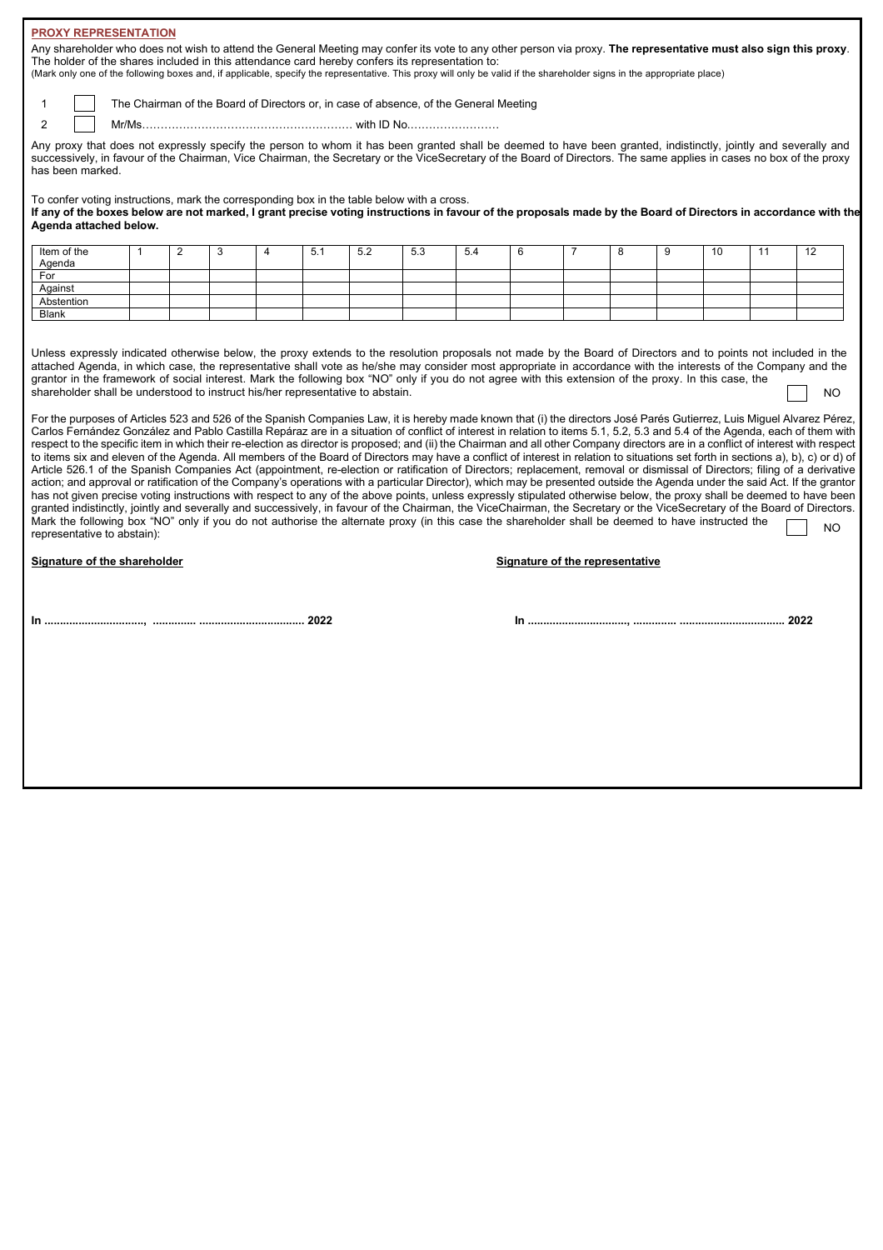## **PROXY REPRESENTATION**

Any shareholder who does not wish to attend the General Meeting may confer its vote to any other person via proxy. **The representative must also sign this proxy**. The holder of the shares included in this attendance card hereby confers its representation to:

(Mark only one of the following boxes and, if applicable, specify the representative. This proxy will only be valid if the shareholder signs in the appropriate place)

1 The Chairman of the Board of Directors or, in case of absence, of the General Meeting

2 Mr/Ms………………………………………………… with ID No.……………………

Any proxy that does not expressly specify the person to whom it has been granted shall be deemed to have been granted, indistinctly, jointly and severally and successively, in favour of the Chairman, Vice Chairman, the Secretary or the ViceSecretary of the Board of Directors. The same applies in cases no box of the proxy has been marked.

To confer voting instructions, mark the corresponding box in the table below with a cross.

**If any of the boxes below are not marked, I grant precise voting instructions in favour of the proposals made by the Board of Directors in accordance with the Agenda attached below.**

| Item of the<br>Agenda |  |  | 5.1 | 5.2 | 5.3 | 5.4 |  |  | 10 | 10<br>14 |
|-----------------------|--|--|-----|-----|-----|-----|--|--|----|----------|
| For                   |  |  |     |     |     |     |  |  |    |          |
| Against               |  |  |     |     |     |     |  |  |    |          |
| Abstention            |  |  |     |     |     |     |  |  |    |          |
| Blank                 |  |  |     |     |     |     |  |  |    |          |

Unless expressly indicated otherwise below, the proxy extends to the resolution proposals not made by the Board of Directors and to points not included in the attached Agenda, in which case, the representative shall vote as he/she may consider most appropriate in accordance with the interests of the Company and the grantor in the framework of social interest. Mark the following box "NO" only if you do not agree with this extension of the proxy. In this case, the shareholder shall be understood to instruct his/her representative to abstain.  $N<sub>O</sub>$ 

For the purposes of Articles 523 and 526 of the Spanish Companies Law, it is hereby made known that (i) the directors José Parés Gutierrez, Luis Miguel Alvarez Pérez, Carlos Fernández González and Pablo Castilla Repáraz are in a situation of conflict of interest in relation to items 5.1, 5.2, 5.3 and 5.4 of the Agenda, each of them with respect to the specific item in which their re-election as director is proposed; and (ii) the Chairman and all other Company directors are in a conflict of interest with respect to items six and eleven of the Agenda. All members of the Board of Directors may have a conflict of interest in relation to situations set forth in sections a), b), c) or d) of Article 526.1 of the Spanish Companies Act (appointment, re-election or ratification of Directors; replacement, removal or dismissal of Directors; filing of a derivative action; and approval or ratification of the Company's operations with a particular Director), which may be presented outside the Agenda under the said Act. If the grantor has not given precise voting instructions with respect to any of the above points, unless expressly stipulated otherwise below, the proxy shall be deemed to have been granted indistinctly, jointly and severally and successively, in favour of the Chairman, the ViceChairman, the Secretary or the ViceSecretary of the Board of Directors. Mark the following box "NO" only if you do not authorise the alternate proxy (in this case the shareholder shall be deemed to have instructed the representative to abstain):  $N<sub>O</sub>$ 

**Signature of the shareholder Signature of the representative**

**In ................................, .............. .................................. 2022 In ................................, .............. .................................. 2022**